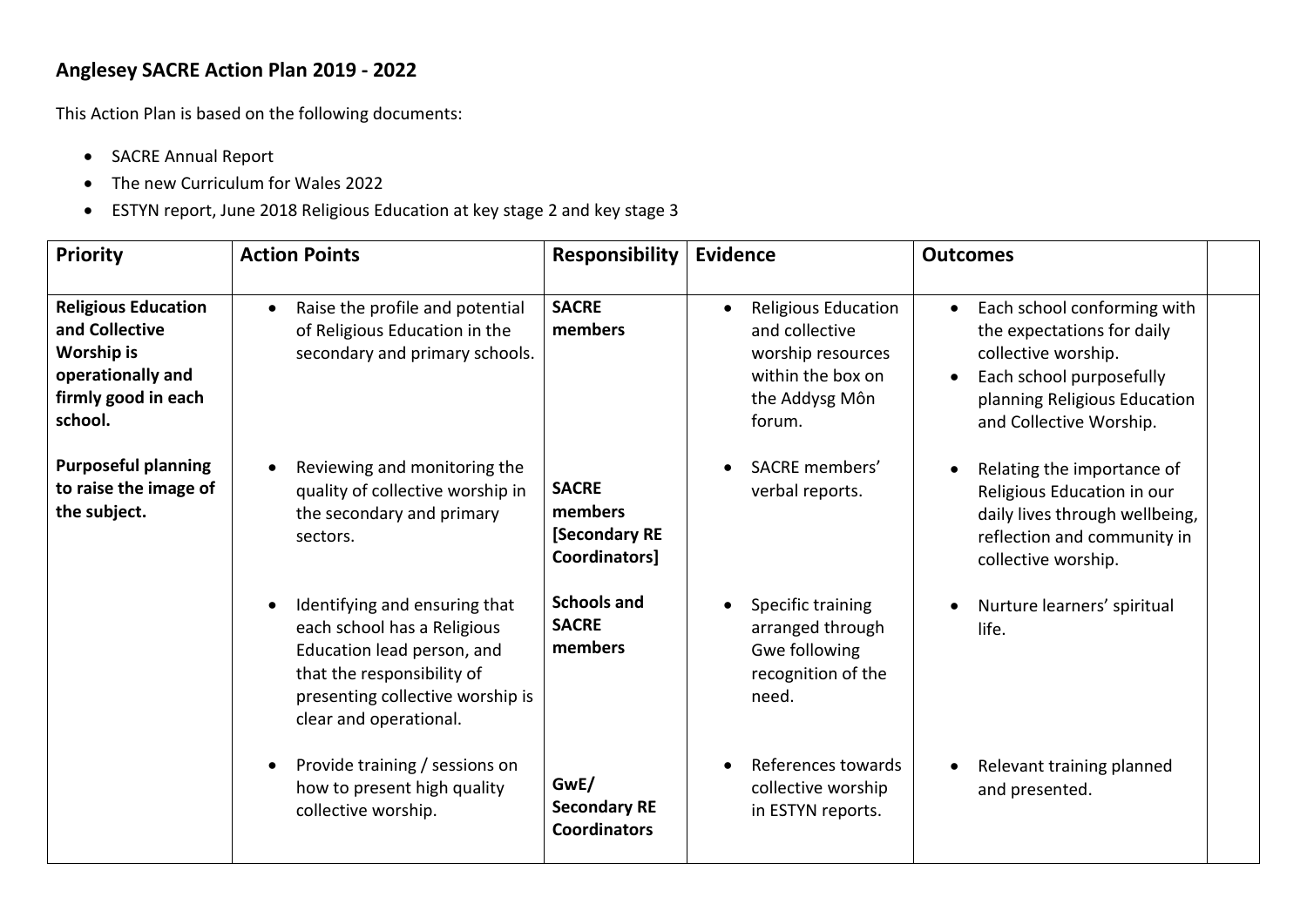## **Anglesey SACRE Action Plan 2019 - 2022**

This Action Plan is based on the following documents:

- SACRE Annual Report
- The new Curriculum for Wales 2022
- ESTYN report, June 2018 Religious Education at key stage 2 and key stage 3

| Priority                                                                                                                 | <b>Action Points</b>                                                                                                                                                                   | <b>Responsibility</b>                                           | <b>Evidence</b>                                                                                             | <b>Outcomes</b>                                                                                                                                                         |  |
|--------------------------------------------------------------------------------------------------------------------------|----------------------------------------------------------------------------------------------------------------------------------------------------------------------------------------|-----------------------------------------------------------------|-------------------------------------------------------------------------------------------------------------|-------------------------------------------------------------------------------------------------------------------------------------------------------------------------|--|
| <b>Religious Education</b><br>and Collective<br><b>Worship is</b><br>operationally and<br>firmly good in each<br>school. | Raise the profile and potential<br>of Religious Education in the<br>secondary and primary schools.                                                                                     | <b>SACRE</b><br>members                                         | Religious Education<br>and collective<br>worship resources<br>within the box on<br>the Addysg Môn<br>forum. | Each school conforming with<br>the expectations for daily<br>collective worship.<br>Each school purposefully<br>planning Religious Education<br>and Collective Worship. |  |
| <b>Purposeful planning</b><br>to raise the image of<br>the subject.                                                      | Reviewing and monitoring the<br>quality of collective worship in<br>the secondary and primary<br>sectors.                                                                              | <b>SACRE</b><br>members<br><b>Secondary RE</b><br>Coordinators] | SACRE members'<br>verbal reports.                                                                           | Relating the importance of<br>Religious Education in our<br>daily lives through wellbeing,<br>reflection and community in<br>collective worship.                        |  |
|                                                                                                                          | Identifying and ensuring that<br>each school has a Religious<br>Education lead person, and<br>that the responsibility of<br>presenting collective worship is<br>clear and operational. | <b>Schools and</b><br><b>SACRE</b><br>members                   | Specific training<br>arranged through<br>Gwe following<br>recognition of the<br>need.                       | Nurture learners' spiritual<br>life.                                                                                                                                    |  |
|                                                                                                                          | Provide training / sessions on<br>how to present high quality<br>collective worship.                                                                                                   | GwE/<br><b>Secondary RE</b><br><b>Coordinators</b>              | References towards<br>collective worship<br>in ESTYN reports.                                               | Relevant training planned<br>and presented.                                                                                                                             |  |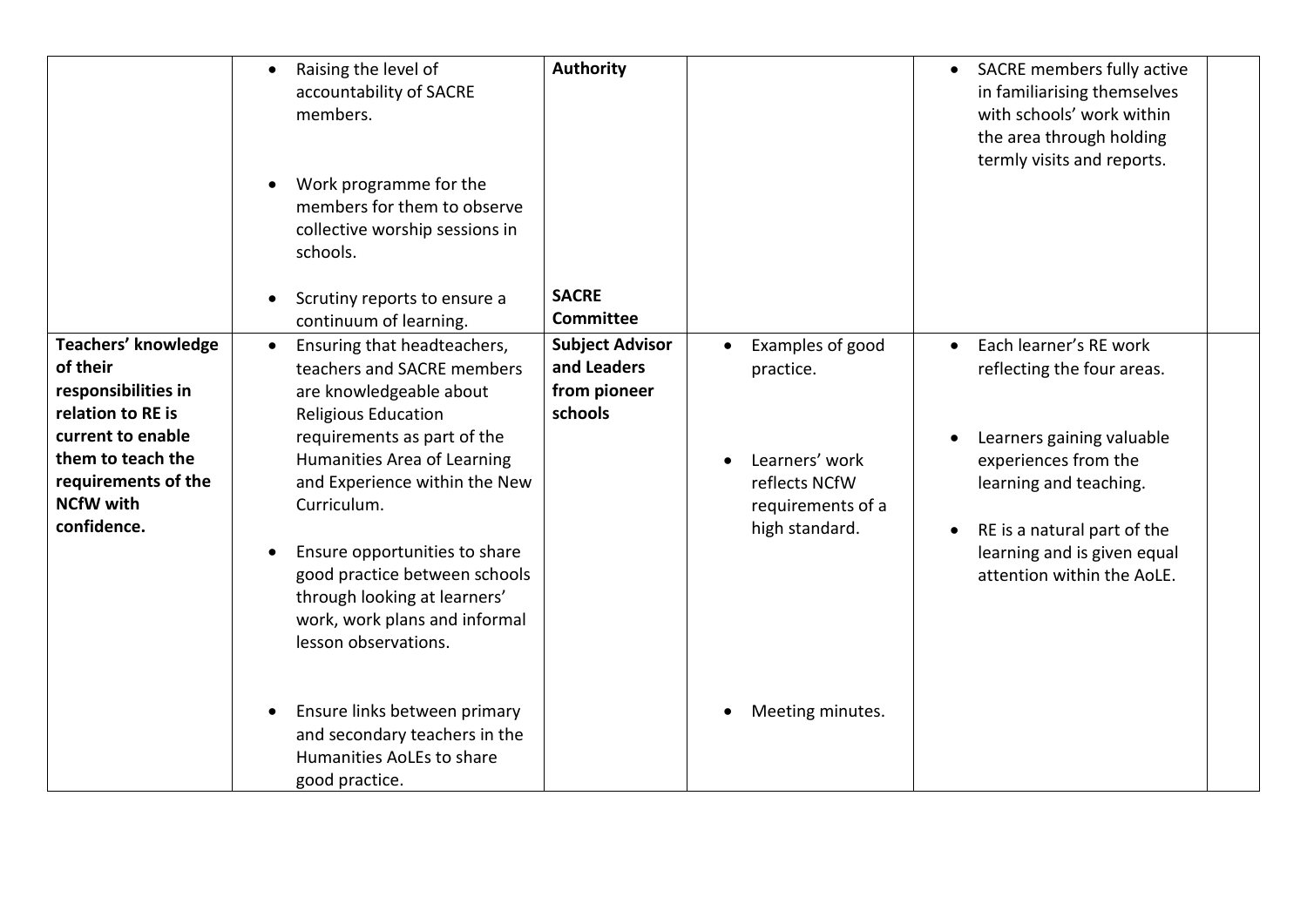|                                                                                                                                                                                 | Raising the level of<br>$\bullet$<br>accountability of SACRE<br>members.<br>Work programme for the<br>members for them to observe<br>collective worship sessions in<br>schools.<br>Scrutiny reports to ensure a<br>continuum of learning.                                                                                                                                                                | <b>Authority</b><br><b>SACRE</b><br><b>Committee</b>             |                                                                                                         | SACRE members fully active<br>in familiarising themselves<br>with schools' work within<br>the area through holding<br>termly visits and reports.                                                                                             |
|---------------------------------------------------------------------------------------------------------------------------------------------------------------------------------|----------------------------------------------------------------------------------------------------------------------------------------------------------------------------------------------------------------------------------------------------------------------------------------------------------------------------------------------------------------------------------------------------------|------------------------------------------------------------------|---------------------------------------------------------------------------------------------------------|----------------------------------------------------------------------------------------------------------------------------------------------------------------------------------------------------------------------------------------------|
| Teachers' knowledge<br>of their<br>responsibilities in<br>relation to RE is<br>current to enable<br>them to teach the<br>requirements of the<br><b>NCfW with</b><br>confidence. | Ensuring that headteachers,<br>$\bullet$<br>teachers and SACRE members<br>are knowledgeable about<br><b>Religious Education</b><br>requirements as part of the<br>Humanities Area of Learning<br>and Experience within the New<br>Curriculum.<br>Ensure opportunities to share<br>good practice between schools<br>through looking at learners'<br>work, work plans and informal<br>lesson observations. | <b>Subject Advisor</b><br>and Leaders<br>from pioneer<br>schools | Examples of good<br>practice.<br>Learners' work<br>reflects NCfW<br>requirements of a<br>high standard. | Each learner's RE work<br>$\bullet$<br>reflecting the four areas.<br>Learners gaining valuable<br>experiences from the<br>learning and teaching.<br>RE is a natural part of the<br>learning and is given equal<br>attention within the AoLE. |
|                                                                                                                                                                                 | Ensure links between primary<br>and secondary teachers in the<br>Humanities AoLEs to share<br>good practice.                                                                                                                                                                                                                                                                                             |                                                                  | Meeting minutes.                                                                                        |                                                                                                                                                                                                                                              |